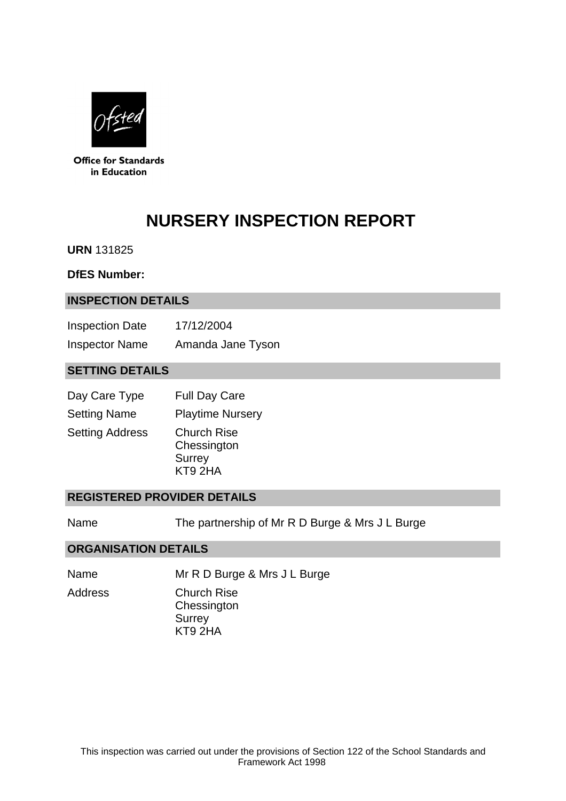

**Office for Standards** in Education

# **NURSERY INSPECTION REPORT**

**URN** 131825

#### **DfES Number:**

#### **INSPECTION DETAILS**

| <b>Inspection Date</b> | 17/12/2004        |
|------------------------|-------------------|
| <b>Inspector Name</b>  | Amanda Jane Tyson |

## **SETTING DETAILS**

| Day Care Type          | <b>Full Day Care</b>                                          |
|------------------------|---------------------------------------------------------------|
| <b>Setting Name</b>    | <b>Playtime Nursery</b>                                       |
| <b>Setting Address</b> | <b>Church Rise</b><br>Chessington<br><b>Surrey</b><br>KT9 2HA |

### **REGISTERED PROVIDER DETAILS**

Name The partnership of Mr R D Burge & Mrs J L Burge

#### **ORGANISATION DETAILS**

Name Mr R D Burge & Mrs J L Burge

Address Church Rise

**Chessington Surrey** KT9 2HA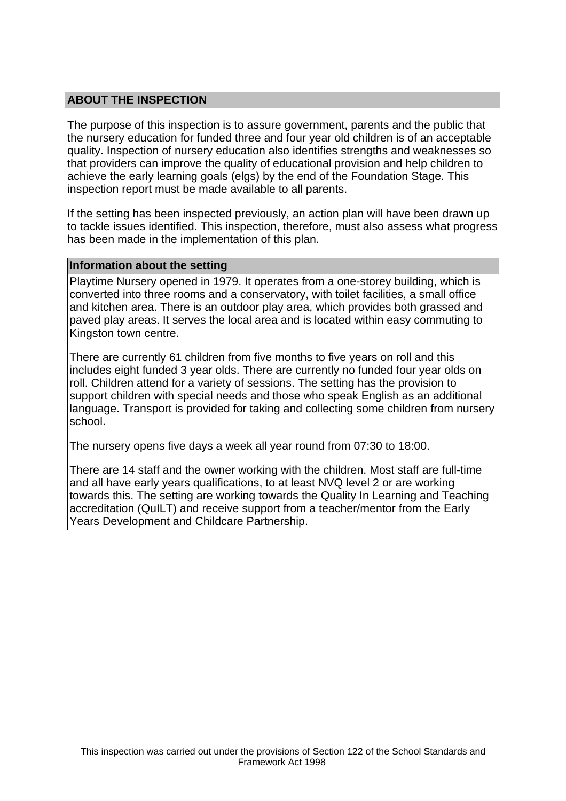## **ABOUT THE INSPECTION**

The purpose of this inspection is to assure government, parents and the public that the nursery education for funded three and four year old children is of an acceptable quality. Inspection of nursery education also identifies strengths and weaknesses so that providers can improve the quality of educational provision and help children to achieve the early learning goals (elgs) by the end of the Foundation Stage. This inspection report must be made available to all parents.

If the setting has been inspected previously, an action plan will have been drawn up to tackle issues identified. This inspection, therefore, must also assess what progress has been made in the implementation of this plan.

#### **Information about the setting**

Playtime Nursery opened in 1979. It operates from a one-storey building, which is converted into three rooms and a conservatory, with toilet facilities, a small office and kitchen area. There is an outdoor play area, which provides both grassed and paved play areas. It serves the local area and is located within easy commuting to Kingston town centre.

There are currently 61 children from five months to five years on roll and this includes eight funded 3 year olds. There are currently no funded four year olds on roll. Children attend for a variety of sessions. The setting has the provision to support children with special needs and those who speak English as an additional language. Transport is provided for taking and collecting some children from nursery school.

The nursery opens five days a week all year round from 07:30 to 18:00.

There are 14 staff and the owner working with the children. Most staff are full-time and all have early years qualifications, to at least NVQ level 2 or are working towards this. The setting are working towards the Quality In Learning and Teaching accreditation (QuILT) and receive support from a teacher/mentor from the Early Years Development and Childcare Partnership.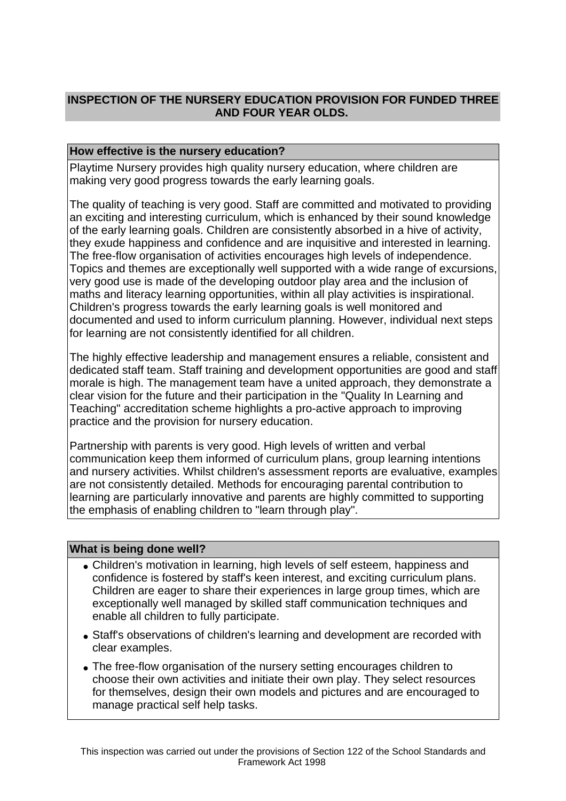# **INSPECTION OF THE NURSERY EDUCATION PROVISION FOR FUNDED THREE AND FOUR YEAR OLDS.**

## **How effective is the nursery education?**

Playtime Nursery provides high quality nursery education, where children are making very good progress towards the early learning goals.

The quality of teaching is very good. Staff are committed and motivated to providing an exciting and interesting curriculum, which is enhanced by their sound knowledge of the early learning goals. Children are consistently absorbed in a hive of activity, they exude happiness and confidence and are inquisitive and interested in learning. The free-flow organisation of activities encourages high levels of independence. Topics and themes are exceptionally well supported with a wide range of excursions, very good use is made of the developing outdoor play area and the inclusion of maths and literacy learning opportunities, within all play activities is inspirational. Children's progress towards the early learning goals is well monitored and documented and used to inform curriculum planning. However, individual next steps for learning are not consistently identified for all children.

The highly effective leadership and management ensures a reliable, consistent and dedicated staff team. Staff training and development opportunities are good and staff morale is high. The management team have a united approach, they demonstrate a clear vision for the future and their participation in the "Quality In Learning and Teaching" accreditation scheme highlights a pro-active approach to improving practice and the provision for nursery education.

Partnership with parents is very good. High levels of written and verbal communication keep them informed of curriculum plans, group learning intentions and nursery activities. Whilst children's assessment reports are evaluative, examples are not consistently detailed. Methods for encouraging parental contribution to learning are particularly innovative and parents are highly committed to supporting the emphasis of enabling children to "learn through play".

#### **What is being done well?**

- Children's motivation in learning, high levels of self esteem, happiness and confidence is fostered by staff's keen interest, and exciting curriculum plans. Children are eager to share their experiences in large group times, which are exceptionally well managed by skilled staff communication techniques and enable all children to fully participate.
- Staff's observations of children's learning and development are recorded with clear examples.
- The free-flow organisation of the nursery setting encourages children to choose their own activities and initiate their own play. They select resources for themselves, design their own models and pictures and are encouraged to manage practical self help tasks.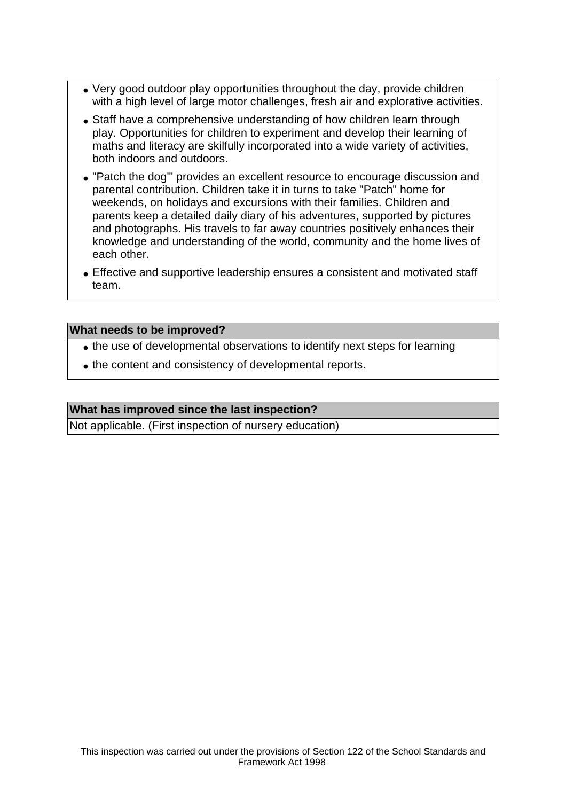- Very good outdoor play opportunities throughout the day, provide children with a high level of large motor challenges, fresh air and explorative activities.
- Staff have a comprehensive understanding of how children learn through play. Opportunities for children to experiment and develop their learning of maths and literacy are skilfully incorporated into a wide variety of activities, both indoors and outdoors.
- "Patch the dog'" provides an excellent resource to encourage discussion and parental contribution. Children take it in turns to take "Patch" home for weekends, on holidays and excursions with their families. Children and parents keep a detailed daily diary of his adventures, supported by pictures and photographs. His travels to far away countries positively enhances their knowledge and understanding of the world, community and the home lives of each other.
- Effective and supportive leadership ensures a consistent and motivated staff team.

#### **What needs to be improved?**

- the use of developmental observations to identify next steps for learning
- the content and consistency of developmental reports.

#### **What has improved since the last inspection?**

Not applicable. (First inspection of nursery education)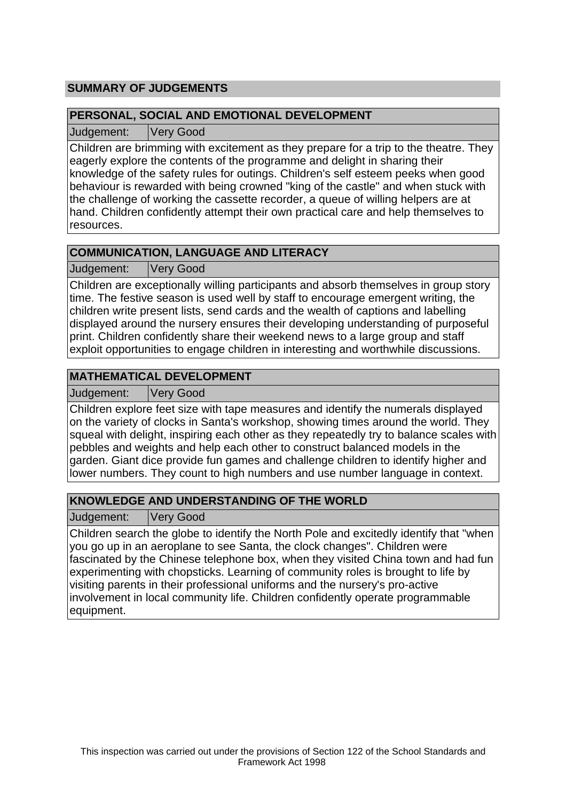# **SUMMARY OF JUDGEMENTS**

## **PERSONAL, SOCIAL AND EMOTIONAL DEVELOPMENT**

Judgement: Very Good

Children are brimming with excitement as they prepare for a trip to the theatre. They eagerly explore the contents of the programme and delight in sharing their knowledge of the safety rules for outings. Children's self esteem peeks when good behaviour is rewarded with being crowned "king of the castle" and when stuck with the challenge of working the cassette recorder, a queue of willing helpers are at hand. Children confidently attempt their own practical care and help themselves to resources.

# **COMMUNICATION, LANGUAGE AND LITERACY**

Judgement: Very Good

Children are exceptionally willing participants and absorb themselves in group story time. The festive season is used well by staff to encourage emergent writing, the children write present lists, send cards and the wealth of captions and labelling displayed around the nursery ensures their developing understanding of purposeful print. Children confidently share their weekend news to a large group and staff exploit opportunities to engage children in interesting and worthwhile discussions.

# **MATHEMATICAL DEVELOPMENT**

Judgement: Very Good

Children explore feet size with tape measures and identify the numerals displayed on the variety of clocks in Santa's workshop, showing times around the world. They squeal with delight, inspiring each other as they repeatedly try to balance scales with pebbles and weights and help each other to construct balanced models in the garden. Giant dice provide fun games and challenge children to identify higher and lower numbers. They count to high numbers and use number language in context.

# **KNOWLEDGE AND UNDERSTANDING OF THE WORLD**

Judgement: Very Good

Children search the globe to identify the North Pole and excitedly identify that "when you go up in an aeroplane to see Santa, the clock changes". Children were fascinated by the Chinese telephone box, when they visited China town and had fun experimenting with chopsticks. Learning of community roles is brought to life by visiting parents in their professional uniforms and the nursery's pro-active involvement in local community life. Children confidently operate programmable equipment.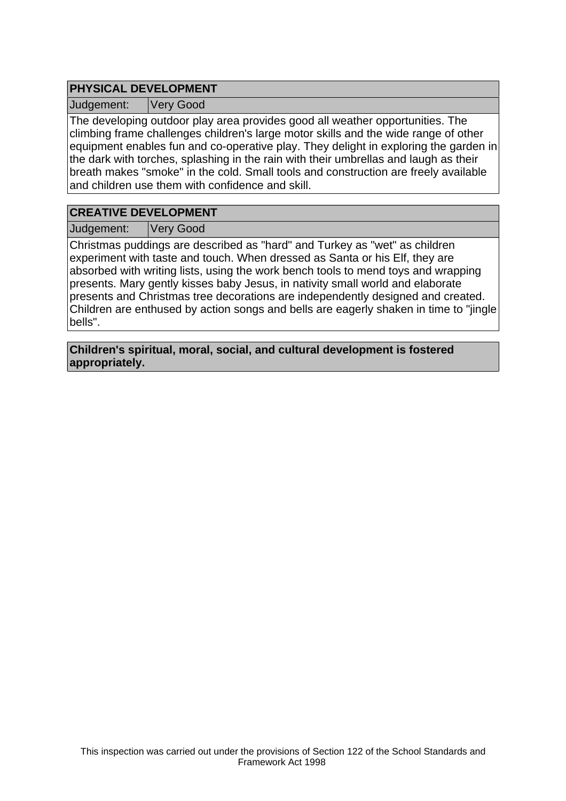# **PHYSICAL DEVELOPMENT**

Judgement: Very Good

The developing outdoor play area provides good all weather opportunities. The climbing frame challenges children's large motor skills and the wide range of other equipment enables fun and co-operative play. They delight in exploring the garden in the dark with torches, splashing in the rain with their umbrellas and laugh as their breath makes "smoke" in the cold. Small tools and construction are freely available and children use them with confidence and skill.

## **CREATIVE DEVELOPMENT**

Judgement: Very Good

Christmas puddings are described as "hard" and Turkey as "wet" as children experiment with taste and touch. When dressed as Santa or his Elf, they are absorbed with writing lists, using the work bench tools to mend toys and wrapping presents. Mary gently kisses baby Jesus, in nativity small world and elaborate presents and Christmas tree decorations are independently designed and created. Children are enthused by action songs and bells are eagerly shaken in time to "jingle bells".

**Children's spiritual, moral, social, and cultural development is fostered appropriately.**